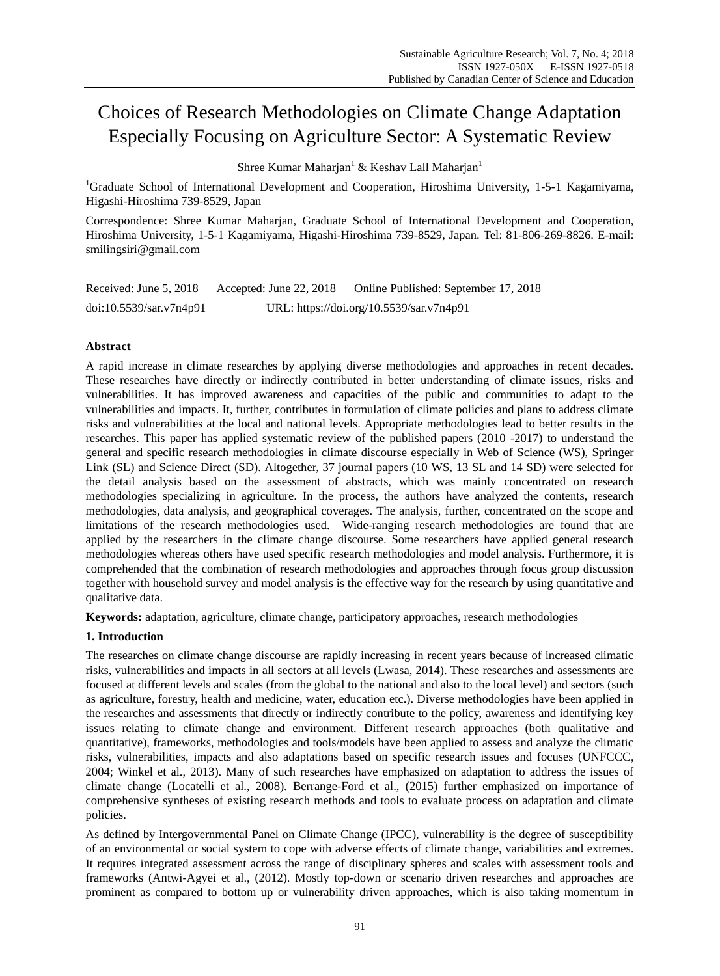# Choices of Research Methodologies on Climate Change Adaptation Especially Focusing on Agriculture Sector: A Systematic Review

Shree Kumar Maharian<sup>1</sup> & Keshav Lall Maharian<sup>1</sup>

<sup>1</sup>Graduate School of International Development and Cooperation, Hiroshima University, 1-5-1 Kagamiyama, Higashi-Hiroshima 739-8529, Japan

Correspondence: Shree Kumar Maharjan, Graduate School of International Development and Cooperation, Hiroshima University, 1-5-1 Kagamiyama, Higashi-Hiroshima 739-8529, Japan. Tel: 81-806-269-8826. E-mail: smilingsiri@gmail.com

| Received: June 5, 2018  | Accepted: June 22, 2018 | Online Published: September 17, 2018     |
|-------------------------|-------------------------|------------------------------------------|
| doi:10.5539/sar.v7n4p91 |                         | URL: https://doi.org/10.5539/sar.v7n4p91 |

# **Abstract**

A rapid increase in climate researches by applying diverse methodologies and approaches in recent decades. These researches have directly or indirectly contributed in better understanding of climate issues, risks and vulnerabilities. It has improved awareness and capacities of the public and communities to adapt to the vulnerabilities and impacts. It, further, contributes in formulation of climate policies and plans to address climate risks and vulnerabilities at the local and national levels. Appropriate methodologies lead to better results in the researches. This paper has applied systematic review of the published papers (2010 -2017) to understand the general and specific research methodologies in climate discourse especially in Web of Science (WS), Springer Link (SL) and Science Direct (SD). Altogether, 37 journal papers (10 WS, 13 SL and 14 SD) were selected for the detail analysis based on the assessment of abstracts, which was mainly concentrated on research methodologies specializing in agriculture. In the process, the authors have analyzed the contents, research methodologies, data analysis, and geographical coverages. The analysis, further, concentrated on the scope and limitations of the research methodologies used. Wide-ranging research methodologies are found that are applied by the researchers in the climate change discourse. Some researchers have applied general research methodologies whereas others have used specific research methodologies and model analysis. Furthermore, it is comprehended that the combination of research methodologies and approaches through focus group discussion together with household survey and model analysis is the effective way for the research by using quantitative and qualitative data.

**Keywords:** adaptation, agriculture, climate change, participatory approaches, research methodologies

# **1. Introduction**

The researches on climate change discourse are rapidly increasing in recent years because of increased climatic risks, vulnerabilities and impacts in all sectors at all levels (Lwasa, 2014). These researches and assessments are focused at different levels and scales (from the global to the national and also to the local level) and sectors (such as agriculture, forestry, health and medicine, water, education etc.). Diverse methodologies have been applied in the researches and assessments that directly or indirectly contribute to the policy, awareness and identifying key issues relating to climate change and environment. Different research approaches (both qualitative and quantitative), frameworks, methodologies and tools/models have been applied to assess and analyze the climatic risks, vulnerabilities, impacts and also adaptations based on specific research issues and focuses (UNFCCC, 2004; Winkel et al., 2013). Many of such researches have emphasized on adaptation to address the issues of climate change (Locatelli et al., 2008). Berrange-Ford et al., (2015) further emphasized on importance of comprehensive syntheses of existing research methods and tools to evaluate process on adaptation and climate policies.

As defined by Intergovernmental Panel on Climate Change (IPCC), vulnerability is the degree of susceptibility of an environmental or social system to cope with adverse effects of climate change, variabilities and extremes. It requires integrated assessment across the range of disciplinary spheres and scales with assessment tools and frameworks (Antwi-Agyei et al., (2012). Mostly top-down or scenario driven researches and approaches are prominent as compared to bottom up or vulnerability driven approaches, which is also taking momentum in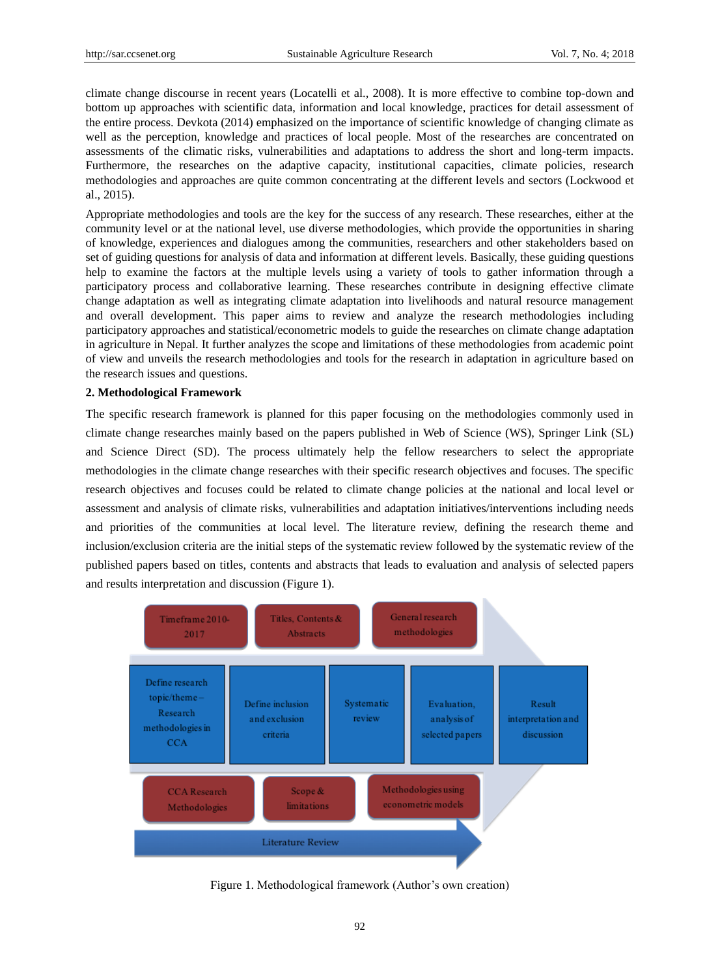climate change discourse in recent years (Locatelli et al., 2008). It is more effective to combine top-down and bottom up approaches with scientific data, information and local knowledge, practices for detail assessment of the entire process. Devkota (2014) emphasized on the importance of scientific knowledge of changing climate as well as the perception, knowledge and practices of local people. Most of the researches are concentrated on assessments of the climatic risks, vulnerabilities and adaptations to address the short and long-term impacts. Furthermore, the researches on the adaptive capacity, institutional capacities, climate policies, research methodologies and approaches are quite common concentrating at the different levels and sectors (Lockwood et al., 2015).

Appropriate methodologies and tools are the key for the success of any research. These researches, either at the community level or at the national level, use diverse methodologies, which provide the opportunities in sharing of knowledge, experiences and dialogues among the communities, researchers and other stakeholders based on set of guiding questions for analysis of data and information at different levels. Basically, these guiding questions help to examine the factors at the multiple levels using a variety of tools to gather information through a participatory process and collaborative learning. These researches contribute in designing effective climate change adaptation as well as integrating climate adaptation into livelihoods and natural resource management and overall development. This paper aims to review and analyze the research methodologies including participatory approaches and statistical/econometric models to guide the researches on climate change adaptation in agriculture in Nepal. It further analyzes the scope and limitations of these methodologies from academic point of view and unveils the research methodologies and tools for the research in adaptation in agriculture based on the research issues and questions.

## **2. Methodological Framework**

The specific research framework is planned for this paper focusing on the methodologies commonly used in climate change researches mainly based on the papers published in Web of Science (WS), Springer Link (SL) and Science Direct (SD). The process ultimately help the fellow researchers to select the appropriate methodologies in the climate change researches with their specific research objectives and focuses. The specific research objectives and focuses could be related to climate change policies at the national and local level or assessment and analysis of climate risks, vulnerabilities and adaptation initiatives/interventions including needs and priorities of the communities at local level. The literature review, defining the research theme and inclusion/exclusion criteria are the initial steps of the systematic review followed by the systematic review of the published papers based on titles, contents and abstracts that leads to evaluation and analysis of selected papers and results interpretation and discussion (Figure 1).



Figure 1. Methodological framework (Author's own creation)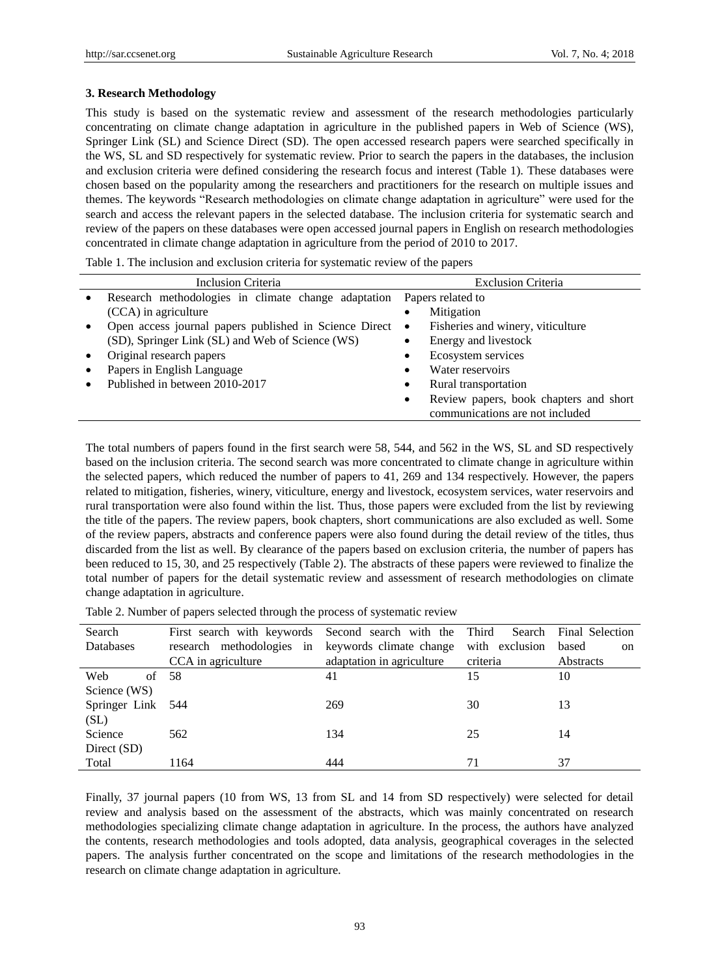Science Direct (SD)

## **3. Research Methodology**

This study is based on the systematic review and assessment of the research methodologies particularly concentrating on climate change adaptation in agriculture in the published papers in Web of Science (WS), Springer Link (SL) and Science Direct (SD). The open accessed research papers were searched specifically in the WS, SL and SD respectively for systematic review. Prior to search the papers in the databases, the inclusion and exclusion criteria were defined considering the research focus and interest (Table 1). These databases were chosen based on the popularity among the researchers and practitioners for the research on multiple issues and themes. The keywords "Research methodologies on climate change adaptation in agriculture" were used for the search and access the relevant papers in the selected database. The inclusion criteria for systematic search and review of the papers on these databases were open accessed journal papers in English on research methodologies concentrated in climate change adaptation in agriculture from the period of 2010 to 2017.

Table 1. The inclusion and exclusion criteria for systematic review of the papers

| Inclusion Criteria |                                                        | <b>Exclusion Criteria</b> |                                        |  |  |
|--------------------|--------------------------------------------------------|---------------------------|----------------------------------------|--|--|
| $\bullet$          | Research methodologies in climate change adaptation    |                           | Papers related to                      |  |  |
|                    | (CCA) in agriculture                                   | ٠                         | Mitigation                             |  |  |
| $\bullet$          | Open access journal papers published in Science Direct | $\bullet$                 | Fisheries and winery, viticulture      |  |  |
|                    | (SD), Springer Link (SL) and Web of Science (WS)       | $\bullet$                 | Energy and livestock                   |  |  |
| $\bullet$          | Original research papers                               | $\bullet$                 | Ecosystem services                     |  |  |
| $\bullet$          | Papers in English Language                             | $\bullet$                 | Water reservoirs                       |  |  |
|                    | Published in between 2010-2017                         | $\bullet$                 | Rural transportation                   |  |  |
|                    |                                                        | $\bullet$                 | Review papers, book chapters and short |  |  |
|                    |                                                        |                           | communications are not included        |  |  |

The total numbers of papers found in the first search were 58, 544, and 562 in the WS, SL and SD respectively based on the inclusion criteria. The second search was more concentrated to climate change in agriculture within the selected papers, which reduced the number of papers to 41, 269 and 134 respectively. However, the papers related to mitigation, fisheries, winery, viticulture, energy and livestock, ecosystem services, water reservoirs and rural transportation were also found within the list. Thus, those papers were excluded from the list by reviewing the title of the papers. The review papers, book chapters, short communications are also excluded as well. Some of the review papers, abstracts and conference papers were also found during the detail review of the titles, thus discarded from the list as well. By clearance of the papers based on exclusion criteria, the number of papers has been reduced to 15, 30, and 25 respectively (Table 2). The abstracts of these papers were reviewed to finalize the total number of papers for the detail systematic review and assessment of research methodologies on climate change adaptation in agriculture.

Search Databases First search with keywords research methodologies in CCA in agriculture Second search with the keywords climate change adaptation in agriculture Third Search with exclusion criteria Final Selection based on **Abstracts** Web of Science (WS) 58 41 15 10 Springer Link  $(SL)$ 544 269 30 13

Total 1164 444 71 37

Table 2. Number of papers selected through the process of systematic review

Finally, 37 journal papers (10 from WS, 13 from SL and 14 from SD respectively) were selected for detail review and analysis based on the assessment of the abstracts, which was mainly concentrated on research methodologies specializing climate change adaptation in agriculture. In the process, the authors have analyzed the contents, research methodologies and tools adopted, data analysis, geographical coverages in the selected papers. The analysis further concentrated on the scope and limitations of the research methodologies in the research on climate change adaptation in agriculture.

562 134 25 14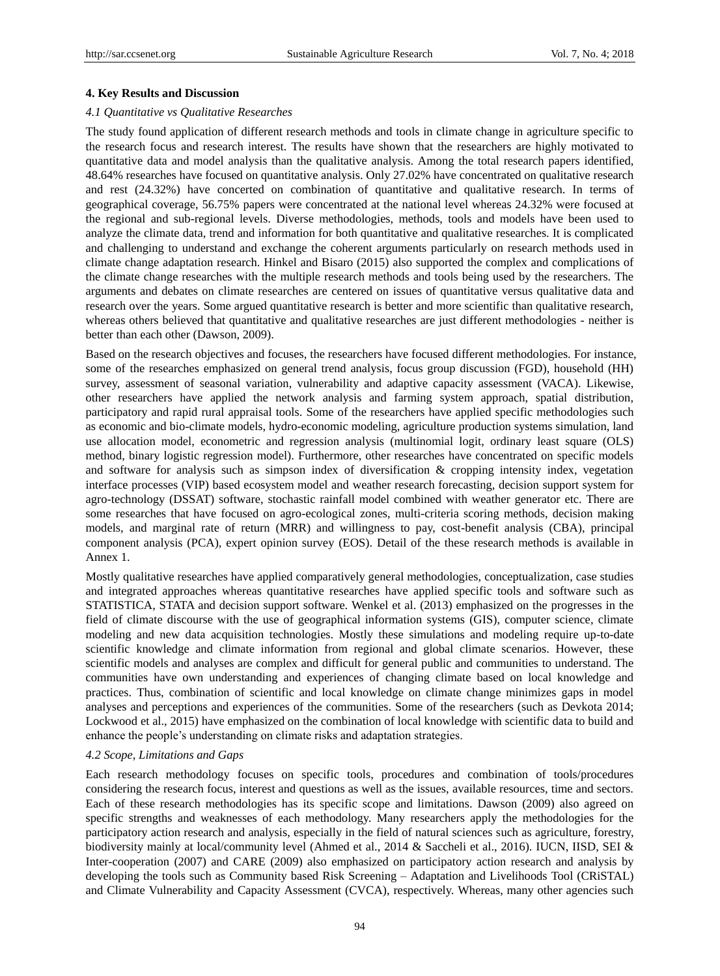## **4. Key Results and Discussion**

#### *4.1 Quantitative vs Qualitative Researches*

The study found application of different research methods and tools in climate change in agriculture specific to the research focus and research interest. The results have shown that the researchers are highly motivated to quantitative data and model analysis than the qualitative analysis. Among the total research papers identified, 48.64% researches have focused on quantitative analysis. Only 27.02% have concentrated on qualitative research and rest (24.32%) have concerted on combination of quantitative and qualitative research. In terms of geographical coverage, 56.75% papers were concentrated at the national level whereas 24.32% were focused at the regional and sub-regional levels. Diverse methodologies, methods, tools and models have been used to analyze the climate data, trend and information for both quantitative and qualitative researches. It is complicated and challenging to understand and exchange the coherent arguments particularly on research methods used in climate change adaptation research. Hinkel and Bisaro (2015) also supported the complex and complications of the climate change researches with the multiple research methods and tools being used by the researchers. The arguments and debates on climate researches are centered on issues of quantitative versus qualitative data and research over the years. Some argued quantitative research is better and more scientific than qualitative research, whereas others believed that quantitative and qualitative researches are just different methodologies - neither is better than each other (Dawson, 2009).

Based on the research objectives and focuses, the researchers have focused different methodologies. For instance, some of the researches emphasized on general trend analysis, focus group discussion (FGD), household (HH) survey, assessment of seasonal variation, vulnerability and adaptive capacity assessment (VACA). Likewise, other researchers have applied the network analysis and farming system approach, spatial distribution, participatory and rapid rural appraisal tools. Some of the researchers have applied specific methodologies such as economic and bio-climate models, hydro-economic modeling, agriculture production systems simulation, land use allocation model, econometric and regression analysis (multinomial logit, ordinary least square (OLS) method, binary logistic regression model). Furthermore, other researches have concentrated on specific models and software for analysis such as simpson index of diversification & cropping intensity index, vegetation interface processes (VIP) based ecosystem model and weather research forecasting, decision support system for agro-technology (DSSAT) software, stochastic rainfall model combined with weather generator etc. There are some researches that have focused on agro-ecological zones, multi-criteria scoring methods, decision making models, and marginal rate of return (MRR) and willingness to pay, cost-benefit analysis (CBA), principal component analysis (PCA), expert opinion survey (EOS). Detail of the these research methods is available in Annex 1.

Mostly qualitative researches have applied comparatively general methodologies, conceptualization, case studies and integrated approaches whereas quantitative researches have applied specific tools and software such as STATISTICA, STATA and decision support software. Wenkel et al. (2013) emphasized on the progresses in the field of climate discourse with the use of geographical information systems (GIS), computer science, climate modeling and new data acquisition technologies. Mostly these simulations and modeling require up-to-date scientific knowledge and climate information from regional and global climate scenarios. However, these scientific models and analyses are complex and difficult for general public and communities to understand. The communities have own understanding and experiences of changing climate based on local knowledge and practices. Thus, combination of scientific and local knowledge on climate change minimizes gaps in model analyses and perceptions and experiences of the communities. Some of the researchers (such as Devkota 2014; Lockwood et al., 2015) have emphasized on the combination of local knowledge with scientific data to build and enhance the people's understanding on climate risks and adaptation strategies.

## *4.2 Scope, Limitations and Gaps*

Each research methodology focuses on specific tools, procedures and combination of tools/procedures considering the research focus, interest and questions as well as the issues, available resources, time and sectors. Each of these research methodologies has its specific scope and limitations. Dawson (2009) also agreed on specific strengths and weaknesses of each methodology. Many researchers apply the methodologies for the participatory action research and analysis, especially in the field of natural sciences such as agriculture, forestry, biodiversity mainly at local/community level (Ahmed et al., 2014 & Saccheli et al., 2016). IUCN, IISD, SEI & Inter-cooperation (2007) and CARE (2009) also emphasized on participatory action research and analysis by developing the tools such as Community based Risk Screening – Adaptation and Livelihoods Tool (CRiSTAL) and Climate Vulnerability and Capacity Assessment (CVCA), respectively. Whereas, many other agencies such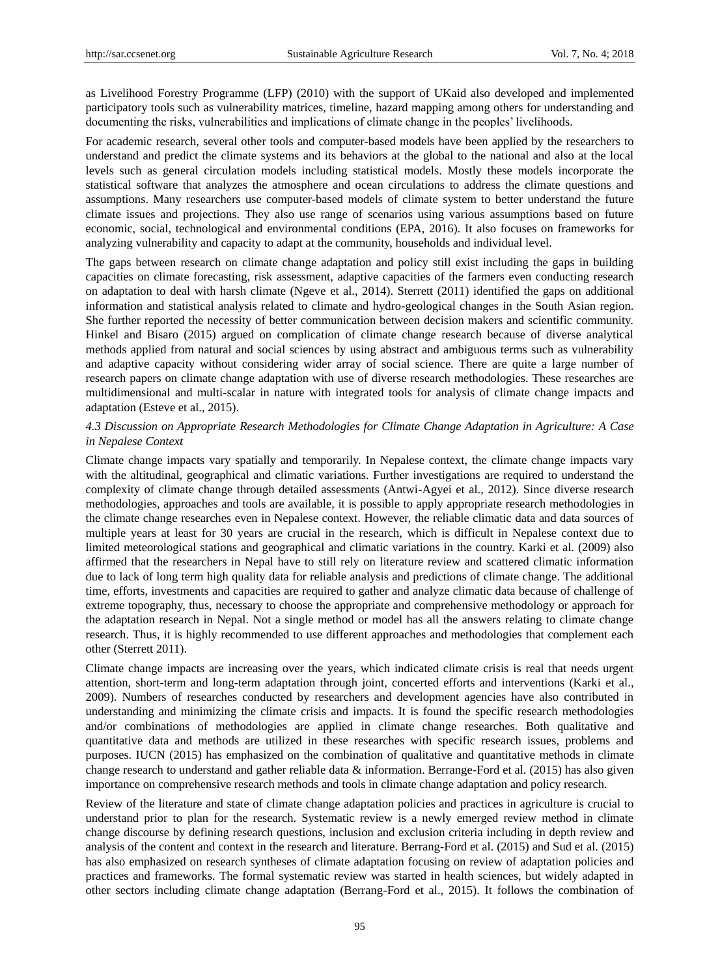as Livelihood Forestry Programme (LFP) (2010) with the support of UKaid also developed and implemented participatory tools such as vulnerability matrices, timeline, hazard mapping among others for understanding and documenting the risks, vulnerabilities and implications of climate change in the peoples" livelihoods.

For academic research, several other tools and computer-based models have been applied by the researchers to understand and predict the climate systems and its behaviors at the global to the national and also at the local levels such as general circulation models including statistical models. Mostly these models incorporate the statistical software that analyzes the atmosphere and ocean circulations to address the climate questions and assumptions. Many researchers use computer-based models of climate system to better understand the future climate issues and projections. They also use range of scenarios using various assumptions based on future economic, social, technological and environmental conditions (EPA, 2016). It also focuses on frameworks for analyzing vulnerability and capacity to adapt at the community, households and individual level.

The gaps between research on climate change adaptation and policy still exist including the gaps in building capacities on climate forecasting, risk assessment, adaptive capacities of the farmers even conducting research on adaptation to deal with harsh climate (Ngeve et al., 2014). Sterrett (2011) identified the gaps on additional information and statistical analysis related to climate and hydro-geological changes in the South Asian region. She further reported the necessity of better communication between decision makers and scientific community. Hinkel and Bisaro (2015) argued on complication of climate change research because of diverse analytical methods applied from natural and social sciences by using abstract and ambiguous terms such as vulnerability and adaptive capacity without considering wider array of social science. There are quite a large number of research papers on climate change adaptation with use of diverse research methodologies. These researches are multidimensional and multi-scalar in nature with integrated tools for analysis of climate change impacts and adaptation (Esteve et al., 2015).

# *4.3 Discussion on Appropriate Research Methodologies for Climate Change Adaptation in Agriculture: A Case in Nepalese Context*

Climate change impacts vary spatially and temporarily. In Nepalese context, the climate change impacts vary with the altitudinal, geographical and climatic variations. Further investigations are required to understand the complexity of climate change through detailed assessments (Antwi-Agyei et al., 2012). Since diverse research methodologies, approaches and tools are available, it is possible to apply appropriate research methodologies in the climate change researches even in Nepalese context. However, the reliable climatic data and data sources of multiple years at least for 30 years are crucial in the research, which is difficult in Nepalese context due to limited meteorological stations and geographical and climatic variations in the country. Karki et al. (2009) also affirmed that the researchers in Nepal have to still rely on literature review and scattered climatic information due to lack of long term high quality data for reliable analysis and predictions of climate change. The additional time, efforts, investments and capacities are required to gather and analyze climatic data because of challenge of extreme topography, thus, necessary to choose the appropriate and comprehensive methodology or approach for the adaptation research in Nepal. Not a single method or model has all the answers relating to climate change research. Thus, it is highly recommended to use different approaches and methodologies that complement each other (Sterrett 2011).

Climate change impacts are increasing over the years, which indicated climate crisis is real that needs urgent attention, short-term and long-term adaptation through joint, concerted efforts and interventions (Karki et al., 2009). Numbers of researches conducted by researchers and development agencies have also contributed in understanding and minimizing the climate crisis and impacts. It is found the specific research methodologies and/or combinations of methodologies are applied in climate change researches. Both qualitative and quantitative data and methods are utilized in these researches with specific research issues, problems and purposes. IUCN (2015) has emphasized on the combination of qualitative and quantitative methods in climate change research to understand and gather reliable data & information. Berrange-Ford et al. (2015) has also given importance on comprehensive research methods and tools in climate change adaptation and policy research.

Review of the literature and state of climate change adaptation policies and practices in agriculture is crucial to understand prior to plan for the research. Systematic review is a newly emerged review method in climate change discourse by defining research questions, inclusion and exclusion criteria including in depth review and analysis of the content and context in the research and literature. Berrang-Ford et al. (2015) and Sud et al. (2015) has also emphasized on research syntheses of climate adaptation focusing on review of adaptation policies and practices and frameworks. The formal systematic review was started in health sciences, but widely adapted in other sectors including climate change adaptation (Berrang-Ford et al., 2015). It follows the combination of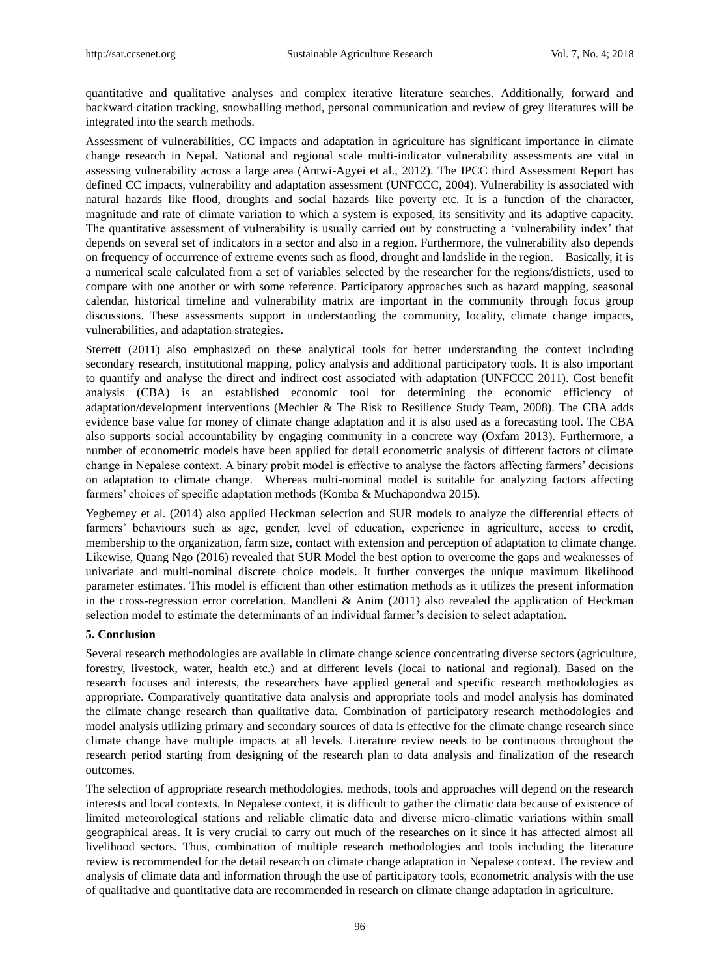quantitative and qualitative analyses and complex iterative literature searches. Additionally, forward and backward citation tracking, snowballing method, personal communication and review of grey literatures will be integrated into the search methods.

Assessment of vulnerabilities, CC impacts and adaptation in agriculture has significant importance in climate change research in Nepal. National and regional scale multi-indicator vulnerability assessments are vital in assessing vulnerability across a large area (Antwi-Agyei et al., 2012). The IPCC third Assessment Report has defined CC impacts, vulnerability and adaptation assessment (UNFCCC, 2004). Vulnerability is associated with natural hazards like flood, droughts and social hazards like poverty etc. It is a function of the character, magnitude and rate of climate variation to which a system is exposed, its sensitivity and its adaptive capacity. The quantitative assessment of vulnerability is usually carried out by constructing a "vulnerability index" that depends on several set of indicators in a sector and also in a region. Furthermore, the vulnerability also depends on frequency of occurrence of extreme events such as flood, drought and landslide in the region. Basically, it is a numerical scale calculated from a set of variables selected by the researcher for the regions/districts, used to compare with one another or with some reference. Participatory approaches such as hazard mapping, seasonal calendar, historical timeline and vulnerability matrix are important in the community through focus group discussions. These assessments support in understanding the community, locality, climate change impacts, vulnerabilities, and adaptation strategies.

Sterrett (2011) also emphasized on these analytical tools for better understanding the context including secondary research, institutional mapping, policy analysis and additional participatory tools. It is also important to quantify and analyse the direct and indirect cost associated with adaptation (UNFCCC 2011). Cost benefit analysis (CBA) is an established economic tool for determining the economic efficiency of adaptation/development interventions (Mechler & The Risk to Resilience Study Team, 2008). The CBA adds evidence base value for money of climate change adaptation and it is also used as a forecasting tool. The CBA also supports social accountability by engaging community in a concrete way (Oxfam 2013). Furthermore, a number of econometric models have been applied for detail econometric analysis of different factors of climate change in Nepalese context. A binary probit model is effective to analyse the factors affecting farmers" decisions on adaptation to climate change. Whereas multi-nominal model is suitable for analyzing factors affecting farmers' choices of specific adaptation methods (Komba & Muchapondwa 2015).

Yegbemey et al. (2014) also applied Heckman selection and SUR models to analyze the differential effects of farmers" behaviours such as age, gender, level of education, experience in agriculture, access to credit, membership to the organization, farm size, contact with extension and perception of adaptation to climate change. Likewise, Quang Ngo (2016) revealed that SUR Model the best option to overcome the gaps and weaknesses of univariate and multi-nominal discrete choice models. It further converges the unique maximum likelihood parameter estimates. This model is efficient than other estimation methods as it utilizes the present information in the cross-regression error correlation. Mandleni & Anim  $(2011)$  also revealed the application of Heckman selection model to estimate the determinants of an individual farmer"s decision to select adaptation.

# **5. Conclusion**

Several research methodologies are available in climate change science concentrating diverse sectors (agriculture, forestry, livestock, water, health etc.) and at different levels (local to national and regional). Based on the research focuses and interests, the researchers have applied general and specific research methodologies as appropriate. Comparatively quantitative data analysis and appropriate tools and model analysis has dominated the climate change research than qualitative data. Combination of participatory research methodologies and model analysis utilizing primary and secondary sources of data is effective for the climate change research since climate change have multiple impacts at all levels. Literature review needs to be continuous throughout the research period starting from designing of the research plan to data analysis and finalization of the research outcomes.

The selection of appropriate research methodologies, methods, tools and approaches will depend on the research interests and local contexts. In Nepalese context, it is difficult to gather the climatic data because of existence of limited meteorological stations and reliable climatic data and diverse micro-climatic variations within small geographical areas. It is very crucial to carry out much of the researches on it since it has affected almost all livelihood sectors. Thus, combination of multiple research methodologies and tools including the literature review is recommended for the detail research on climate change adaptation in Nepalese context. The review and analysis of climate data and information through the use of participatory tools, econometric analysis with the use of qualitative and quantitative data are recommended in research on climate change adaptation in agriculture.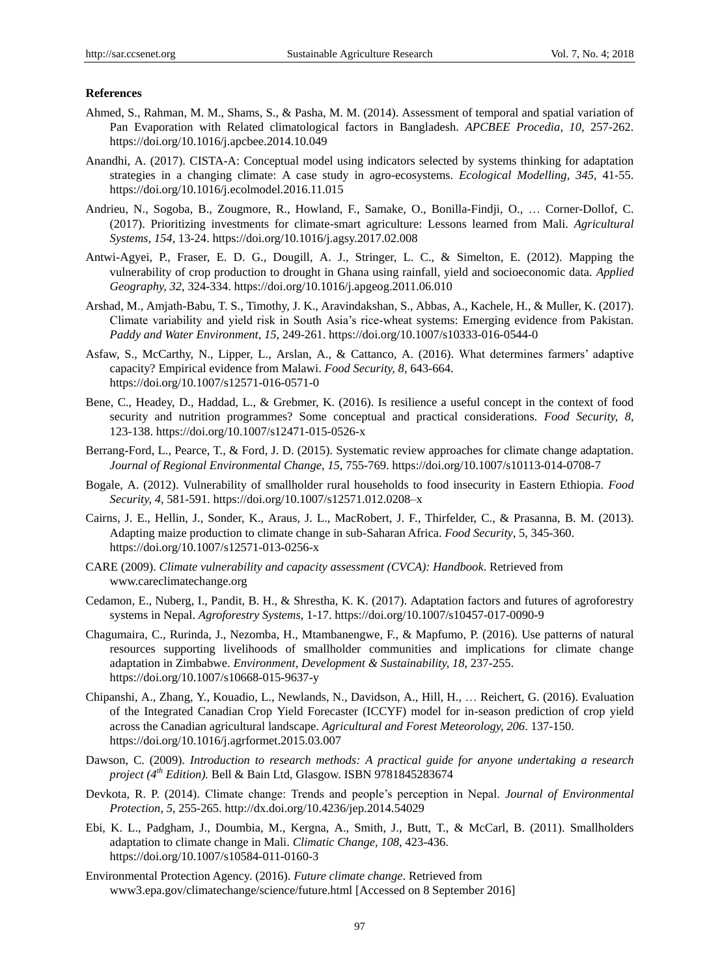## **References**

- Ahmed, S., Rahman, M. M., Shams, S., & Pasha, M. M. (2014). Assessment of temporal and spatial variation of Pan Evaporation with Related climatological factors in Bangladesh. *APCBEE Procedia, 10*, 257-262. https://doi.org/10.1016/j.apcbee.2014.10.049
- Anandhi, A. (2017). CISTA-A: Conceptual model using indicators selected by systems thinking for adaptation strategies in a changing climate: A case study in agro-ecosystems. *Ecological Modelling, 345*, 41-55. https://doi.org/10.1016/j.ecolmodel.2016.11.015
- Andrieu, N., Sogoba, B., Zougmore, R., Howland, F., Samake, O., Bonilla-Findji, O., … Corner-Dollof, C. (2017). Prioritizing investments for climate-smart agriculture: Lessons learned from Mali. *Agricultural Systems, 154*, 13-24. https://doi.org/10.1016/j.agsy.2017.02.008
- Antwi-Agyei, P., Fraser, E. D. G., Dougill, A. J., Stringer, L. C., & Simelton, E. (2012). Mapping the vulnerability of crop production to drought in Ghana using rainfall, yield and socioeconomic data. *Applied Geography, 32*, 324-334. https://doi.org/10.1016/j.apgeog.2011.06.010
- Arshad, M., Amjath-Babu, T. S., Timothy, J. K., Aravindakshan, S., Abbas, A., Kachele, H., & Muller, K. (2017). Climate variability and yield risk in South Asia"s rice-wheat systems: Emerging evidence from Pakistan. *Paddy and Water Environment, 15*, 249-261. https://doi.org/10.1007/s10333-016-0544-0
- Asfaw, S., McCarthy, N., Lipper, L., Arslan, A., & Cattanco, A. (2016). What determines farmers" adaptive capacity? Empirical evidence from Malawi. *Food Security, 8*, 643-664. https://doi.org/10.1007/s12571-016-0571-0
- Bene, C., Headey, D., Haddad, L., & Grebmer, K. (2016). Is resilience a useful concept in the context of food security and nutrition programmes? Some conceptual and practical considerations. *Food Security, 8*, 123-138. https://doi.org/10.1007/s12471-015-0526-x
- Berrang-Ford, L., Pearce, T., & Ford, J. D. (2015). Systematic review approaches for climate change adaptation. *Journal of Regional Environmental Change, 15*, 755-769. https://doi.org/10.1007/s10113-014-0708-7
- Bogale, A. (2012). Vulnerability of smallholder rural households to food insecurity in Eastern Ethiopia. *Food Security, 4*, 581-591. https://doi.org/10.1007/s12571.012.0208–x
- Cairns, J. E., Hellin, J., Sonder, K., Araus, J. L., MacRobert, J. F., Thirfelder, C., & Prasanna, B. M. (2013). Adapting maize production to climate change in sub-Saharan Africa. *Food Security*, 5, 345-360. https://doi.org/10.1007/s12571-013-0256-x
- CARE (2009). *Climate vulnerability and capacity assessment (CVCA): Handbook*. Retrieved from www.careclimatechange.org
- Cedamon, E., Nuberg, I., Pandit, B. H., & Shrestha, K. K. (2017). Adaptation factors and futures of agroforestry systems in Nepal. *Agroforestry Systems*, 1-17. https://doi.org/10.1007/s10457-017-0090-9
- Chagumaira, C., Rurinda, J., Nezomba, H., Mtambanengwe, F., & Mapfumo, P. (2016). Use patterns of natural resources supporting livelihoods of smallholder communities and implications for climate change adaptation in Zimbabwe. *Environment, Development & Sustainability, 18*, 237-255. https://doi.org/10.1007/s10668-015-9637-y
- Chipanshi, A., Zhang, Y., Kouadio, L., Newlands, N., Davidson, A., Hill, H., … Reichert, G. (2016). Evaluation of the Integrated Canadian Crop Yield Forecaster (ICCYF) model for in-season prediction of crop yield across the Canadian agricultural landscape. *Agricultural and Forest Meteorology, 206*. 137-150. https://doi.org/10.1016/j.agrformet.2015.03.007
- Dawson, C. (2009). *Introduction to research methods: A practical guide for anyone undertaking a research project (4th Edition).* Bell & Bain Ltd, Glasgow. ISBN 9781845283674
- Devkota, R. P. (2014). Climate change: Trends and people"s perception in Nepal. *Journal of Environmental Protection, 5*, 255-265. http://dx.doi.org/10.4236/jep.2014.54029
- Ebi, K. L., Padgham, J., Doumbia, M., Kergna, A., Smith, J., Butt, T., & McCarl, B. (2011). Smallholders adaptation to climate change in Mali. *Climatic Change, 108*, 423-436. https://doi.org/10.1007/s10584-011-0160-3
- Environmental Protection Agency. (2016). *Future climate change*. Retrieved from www3.epa.gov/climatechange/science/future.html [Accessed on 8 September 2016]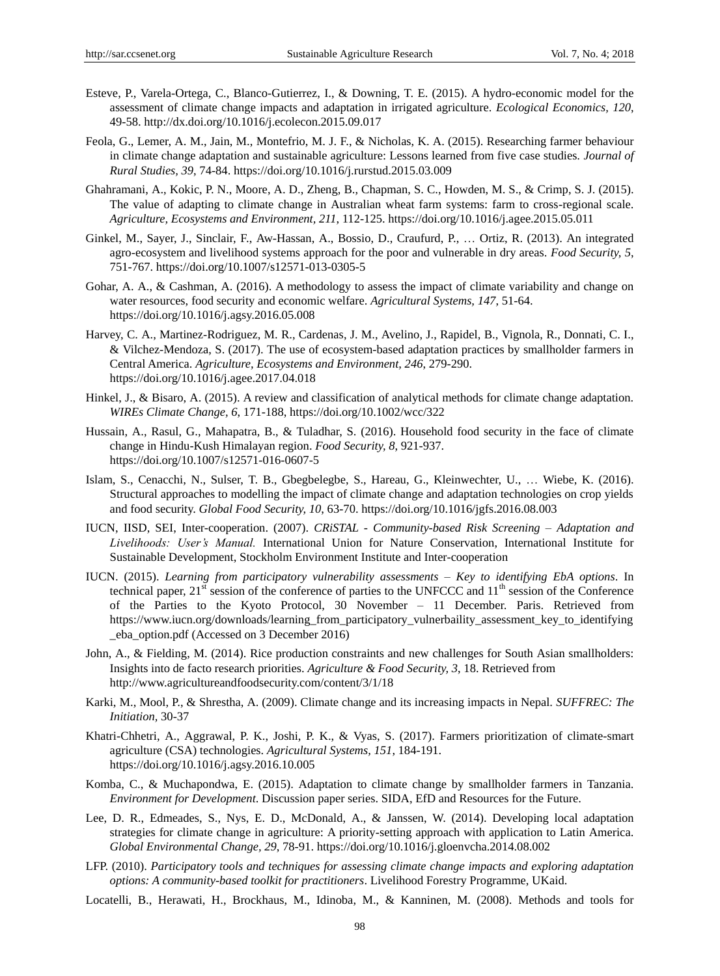- Esteve, P., Varela-Ortega, C., Blanco-Gutierrez, I., & Downing, T. E. (2015). A hydro-economic model for the assessment of climate change impacts and adaptation in irrigated agriculture. *Ecological Economics, 120*, 49-58. http://dx.doi.org/10.1016/j.ecolecon.2015.09.017
- Feola, G., Lemer, A. M., Jain, M., Montefrio, M. J. F., & Nicholas, K. A. (2015). Researching farmer behaviour in climate change adaptation and sustainable agriculture: Lessons learned from five case studies. *Journal of Rural Studies, 39*, 74-84. https://doi.org/10.1016/j.rurstud.2015.03.009
- Ghahramani, A., Kokic, P. N., Moore, A. D., Zheng, B., Chapman, S. C., Howden, M. S., & Crimp, S. J. (2015). The value of adapting to climate change in Australian wheat farm systems: farm to cross-regional scale. *Agriculture, Ecosystems and Environment, 211*, 112-125. https://doi.org/10.1016/j.agee.2015.05.011
- Ginkel, M., Sayer, J., Sinclair, F., Aw-Hassan, A., Bossio, D., Craufurd, P., … Ortiz, R. (2013). An integrated agro-ecosystem and livelihood systems approach for the poor and vulnerable in dry areas. *Food Security, 5*, 751-767. https://doi.org/10.1007/s12571-013-0305-5
- Gohar, A. A., & Cashman, A. (2016). A methodology to assess the impact of climate variability and change on water resources, food security and economic welfare. *Agricultural Systems, 147*, 51-64. https://doi.org/10.1016/j.agsy.2016.05.008
- Harvey, C. A., Martinez-Rodriguez, M. R., Cardenas, J. M., Avelino, J., Rapidel, B., Vignola, R., Donnati, C. I., & Vilchez-Mendoza, S. (2017). The use of ecosystem-based adaptation practices by smallholder farmers in Central America. *Agriculture, Ecosystems and Environment, 246*, 279-290. https://doi.org/10.1016/j.agee.2017.04.018
- Hinkel, J., & Bisaro, A. (2015). A review and classification of analytical methods for climate change adaptation. *WIREs Climate Change, 6*, 171-188, https://doi.org/10.1002/wcc/322
- Hussain, A., Rasul, G., Mahapatra, B., & Tuladhar, S. (2016). Household food security in the face of climate change in Hindu-Kush Himalayan region. *Food Security, 8*, 921-937. https://doi.org/10.1007/s12571-016-0607-5
- Islam, S., Cenacchi, N., Sulser, T. B., Gbegbelegbe, S., Hareau, G., Kleinwechter, U., … Wiebe, K. (2016). Structural approaches to modelling the impact of climate change and adaptation technologies on crop yields and food security. *Global Food Security, 10*, 63-70. https://doi.org/10.1016/jgfs.2016.08.003
- IUCN, IISD, SEI, Inter-cooperation. (2007). *CRiSTAL - Community-based Risk Screening – Adaptation and Livelihoods: User's Manual.* International Union for Nature Conservation, International Institute for Sustainable Development, Stockholm Environment Institute and Inter-cooperation
- IUCN. (2015). *Learning from participatory vulnerability assessments – Key to identifying EbA options*. In technical paper, 21<sup>st</sup> session of the conference of parties to the UNFCCC and 11<sup>th</sup> session of the Conference of the Parties to the Kyoto Protocol, 30 November – 11 December. Paris. Retrieved from https://www.iucn.org/downloads/learning\_from\_participatory\_vulnerbaility\_assessment\_key\_to\_identifying \_eba\_option.pdf (Accessed on 3 December 2016)
- John, A., & Fielding, M. (2014). Rice production constraints and new challenges for South Asian smallholders: Insights into de facto research priorities. *Agriculture & Food Security, 3*, 18. Retrieved from http://www.agricultureandfoodsecurity.com/content/3/1/18
- Karki, M., Mool, P., & Shrestha, A. (2009). Climate change and its increasing impacts in Nepal. *SUFFREC: The Initiation,* 30-37
- Khatri-Chhetri, A., Aggrawal, P. K., Joshi, P. K., & Vyas, S. (2017). Farmers prioritization of climate-smart agriculture (CSA) technologies. *Agricultural Systems, 151*, 184-191. https://doi.org/10.1016/j.agsy.2016.10.005
- Komba, C., & Muchapondwa, E. (2015). Adaptation to climate change by smallholder farmers in Tanzania. *Environment for Development*. Discussion paper series. SIDA, EfD and Resources for the Future.
- Lee, D. R., Edmeades, S., Nys, E. D., McDonald, A., & Janssen, W. (2014). Developing local adaptation strategies for climate change in agriculture: A priority-setting approach with application to Latin America. *Global Environmental Change, 29*, 78-91. https://doi.org/10.1016/j.gloenvcha.2014.08.002
- LFP. (2010). *Participatory tools and techniques for assessing climate change impacts and exploring adaptation options: A community-based toolkit for practitioners*. Livelihood Forestry Programme, UKaid.
- Locatelli, B., Herawati, H., Brockhaus, M., Idinoba, M., & Kanninen, M. (2008). Methods and tools for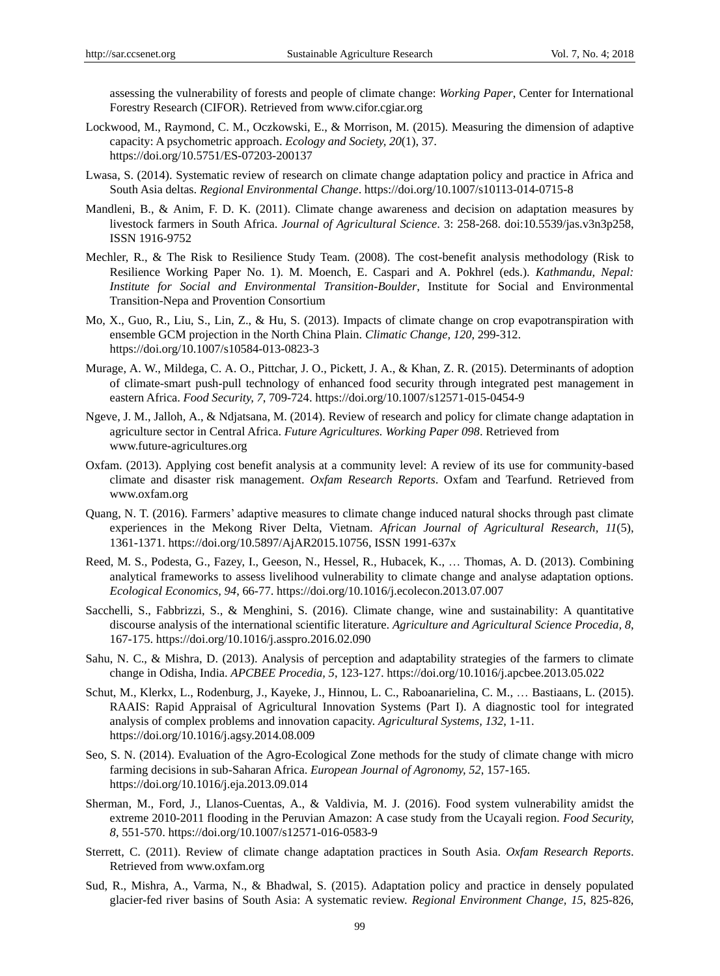assessing the vulnerability of forests and people of climate change: *Working Paper*, Center for International Forestry Research (CIFOR). Retrieved from www.cifor.cgiar.org

- Lockwood, M., Raymond, C. M., Oczkowski, E., & Morrison, M. (2015). Measuring the dimension of adaptive capacity: A psychometric approach. *Ecology and Society, 20*(1), 37. https://doi.org/10.5751/ES-07203-200137
- Lwasa, S. (2014). Systematic review of research on climate change adaptation policy and practice in Africa and South Asia deltas. *Regional Environmental Change*. https://doi.org/10.1007/s10113-014-0715-8
- Mandleni, B., & Anim, F. D. K. (2011). Climate change awareness and decision on adaptation measures by livestock farmers in South Africa. *Journal of Agricultural Science*. 3: 258-268. doi:10.5539/jas.v3n3p258, ISSN 1916-9752
- Mechler, R., & The Risk to Resilience Study Team. (2008). The cost-benefit analysis methodology (Risk to Resilience Working Paper No. 1). M. Moench, E. Caspari and A. Pokhrel (eds.). *Kathmandu, Nepal: Institute for Social and Environmental Transition-Boulder*, Institute for Social and Environmental Transition-Nepa and Provention Consortium
- Mo, X., Guo, R., Liu, S., Lin, Z., & Hu, S. (2013). Impacts of climate change on crop evapotranspiration with ensemble GCM projection in the North China Plain. *Climatic Change, 120*, 299-312. https://doi.org/10.1007/s10584-013-0823-3
- Murage, A. W., Mildega, C. A. O., Pittchar, J. O., Pickett, J. A., & Khan, Z. R. (2015). Determinants of adoption of climate-smart push-pull technology of enhanced food security through integrated pest management in eastern Africa. *Food Security, 7*, 709-724. https://doi.org/10.1007/s12571-015-0454-9
- Ngeve, J. M., Jalloh, A., & Ndjatsana, M. (2014). Review of research and policy for climate change adaptation in agriculture sector in Central Africa. *Future Agricultures. Working Paper 098*. Retrieved from www.future-agricultures.org
- Oxfam. (2013). Applying cost benefit analysis at a community level: A review of its use for community-based climate and disaster risk management. *Oxfam Research Reports*. Oxfam and Tearfund. Retrieved from www.oxfam.org
- Quang, N. T. (2016). Farmers" adaptive measures to climate change induced natural shocks through past climate experiences in the Mekong River Delta, Vietnam. *African Journal of Agricultural Research, 11*(5), 1361-1371. https://doi.org/10.5897/AjAR2015.10756, ISSN 1991-637x
- Reed, M. S., Podesta, G., Fazey, I., Geeson, N., Hessel, R., Hubacek, K., … Thomas, A. D. (2013). Combining analytical frameworks to assess livelihood vulnerability to climate change and analyse adaptation options. *Ecological Economics, 94*, 66-77. https://doi.org/10.1016/j.ecolecon.2013.07.007
- Sacchelli, S., Fabbrizzi, S., & Menghini, S. (2016). Climate change, wine and sustainability: A quantitative discourse analysis of the international scientific literature. *Agriculture and Agricultural Science Procedia, 8*, 167-175. https://doi.org/10.1016/j.asspro.2016.02.090
- Sahu, N. C., & Mishra, D. (2013). Analysis of perception and adaptability strategies of the farmers to climate change in Odisha, India. *APCBEE Procedia, 5*, 123-127. https://doi.org/10.1016/j.apcbee.2013.05.022
- Schut, M., Klerkx, L., Rodenburg, J., Kayeke, J., Hinnou, L. C., Raboanarielina, C. M., … Bastiaans, L. (2015). RAAIS: Rapid Appraisal of Agricultural Innovation Systems (Part I). A diagnostic tool for integrated analysis of complex problems and innovation capacity. *Agricultural Systems, 132*, 1-11. https://doi.org/10.1016/j.agsy.2014.08.009
- Seo, S. N. (2014). Evaluation of the Agro-Ecological Zone methods for the study of climate change with micro farming decisions in sub-Saharan Africa. *European Journal of Agronomy, 52*, 157-165. https://doi.org/10.1016/j.eja.2013.09.014
- Sherman, M., Ford, J., Llanos-Cuentas, A., & Valdivia, M. J. (2016). Food system vulnerability amidst the extreme 2010-2011 flooding in the Peruvian Amazon: A case study from the Ucayali region. *Food Security, 8*, 551-570. https://doi.org/10.1007/s12571-016-0583-9
- Sterrett, C. (2011). Review of climate change adaptation practices in South Asia. *Oxfam Research Reports*. Retrieved from www.oxfam.org
- Sud, R., Mishra, A., Varma, N., & Bhadwal, S. (2015). Adaptation policy and practice in densely populated glacier-fed river basins of South Asia: A systematic review. *Regional Environment Change, 15*, 825-826,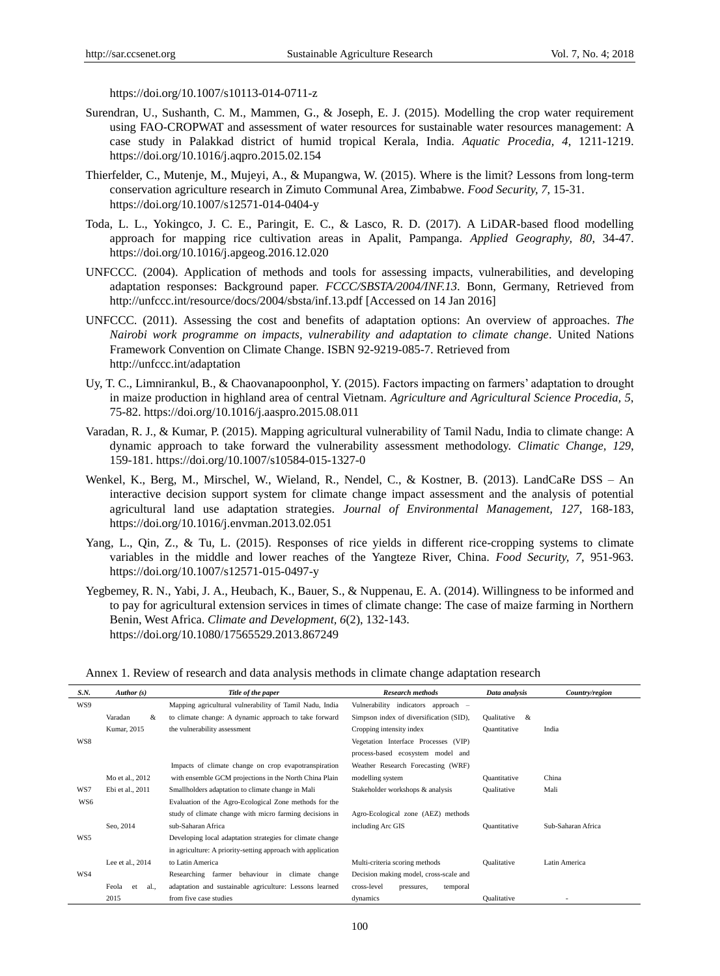https://doi.org/10.1007/s10113-014-0711-z

- Surendran, U., Sushanth, C. M., Mammen, G., & Joseph, E. J. (2015). Modelling the crop water requirement using FAO-CROPWAT and assessment of water resources for sustainable water resources management: A case study in Palakkad district of humid tropical Kerala, India. *Aquatic Procedia, 4*, 1211-1219. https://doi.org/10.1016/j.aqpro.2015.02.154
- Thierfelder, C., Mutenje, M., Mujeyi, A., & Mupangwa, W. (2015). Where is the limit? Lessons from long-term conservation agriculture research in Zimuto Communal Area, Zimbabwe. *Food Security, 7*, 15-31. https://doi.org/10.1007/s12571-014-0404-y
- Toda, L. L., Yokingco, J. C. E., Paringit, E. C., & Lasco, R. D. (2017). A LiDAR-based flood modelling approach for mapping rice cultivation areas in Apalit, Pampanga. *Applied Geography, 80*, 34-47. https://doi.org/10.1016/j.apgeog.2016.12.020
- UNFCCC. (2004). Application of methods and tools for assessing impacts, vulnerabilities, and developing adaptation responses: Background paper. *FCCC/SBSTA/2004/INF.13*. Bonn, Germany, Retrieved from http://unfccc.int/resource/docs/2004/sbsta/inf.13.pdf [Accessed on 14 Jan 2016]
- UNFCCC. (2011). Assessing the cost and benefits of adaptation options: An overview of approaches. *The Nairobi work programme on impacts, vulnerability and adaptation to climate change*. United Nations Framework Convention on Climate Change. ISBN 92-9219-085-7. Retrieved from http://unfccc.int/adaptation
- Uy, T. C., Limnirankul, B., & Chaovanapoonphol, Y. (2015). Factors impacting on farmers" adaptation to drought in maize production in highland area of central Vietnam. *Agriculture and Agricultural Science Procedia, 5*, 75-82. https://doi.org/10.1016/j.aaspro.2015.08.011
- Varadan, R. J., & Kumar, P. (2015). Mapping agricultural vulnerability of Tamil Nadu, India to climate change: A dynamic approach to take forward the vulnerability assessment methodology. *Climatic Change, 129*, 159-181. https://doi.org/10.1007/s10584-015-1327-0
- Wenkel, K., Berg, M., Mirschel, W., Wieland, R., Nendel, C., & Kostner, B. (2013). LandCaRe DSS An interactive decision support system for climate change impact assessment and the analysis of potential agricultural land use adaptation strategies. *Journal of Environmental Management, 127*, 168-183, https://doi.org/10.1016/j.envman.2013.02.051
- Yang, L., Qin, Z., & Tu, L. (2015). Responses of rice yields in different rice-cropping systems to climate variables in the middle and lower reaches of the Yangteze River, China. *Food Security, 7*, 951-963. https://doi.org/10.1007/s12571-015-0497-y
- Yegbemey, R. N., Yabi, J. A., Heubach, K., Bauer, S., & Nuppenau, E. A. (2014). Willingness to be informed and to pay for agricultural extension services in times of climate change: The case of maize farming in Northern Benin, West Africa. *Climate and Development, 6*(2), 132-143. https://doi.org/10.1080/17565529.2013.867249

Annex 1. Review of research and data analysis methods in climate change adaptation research

| S.N. | Author(s)           | Title of the paper                                           | <b>Research methods</b>                 | Data analysis | Country/region     |
|------|---------------------|--------------------------------------------------------------|-----------------------------------------|---------------|--------------------|
| WS9  |                     | Mapping agricultural vulnerability of Tamil Nadu, India      | Vulnerability indicators approach -     |               |                    |
|      | Varadan<br>&        | to climate change: A dynamic approach to take forward        | Simpson index of diversification (SID), | Qualitative & |                    |
|      | Kumar, 2015         | the vulnerability assessment                                 | Cropping intensity index                | Quantitative  | India              |
| WS8  |                     |                                                              | Vegetation Interface Processes (VIP)    |               |                    |
|      |                     |                                                              | process-based ecosystem model and       |               |                    |
|      |                     | Impacts of climate change on crop evapotranspiration         | Weather Research Forecasting (WRF)      |               |                    |
|      | Mo et al., 2012     | with ensemble GCM projections in the North China Plain       | modelling system                        | Quantitative  | China              |
| WS7  | Ebi et al., 2011    | Smallholders adaptation to climate change in Mali            | Stakeholder workshops & analysis        | Qualitative   | Mali               |
| WS6  |                     | Evaluation of the Agro-Ecological Zone methods for the       |                                         |               |                    |
|      |                     | study of climate change with micro farming decisions in      | Agro-Ecological zone (AEZ) methods      |               |                    |
|      | Seo, 2014           | sub-Saharan Africa                                           | including Arc GIS                       | Quantitative  | Sub-Saharan Africa |
| WS5  |                     | Developing local adaptation strategies for climate change    |                                         |               |                    |
|      |                     | in agriculture: A priority-setting approach with application |                                         |               |                    |
|      | Lee et al., 2014    | to Latin America                                             | Multi-criteria scoring methods          | Qualitative   | Latin America      |
| WS4  |                     | Researching farmer behaviour in climate change               | Decision making model, cross-scale and  |               |                    |
|      | Feola<br>al.,<br>et | adaptation and sustainable agriculture: Lessons learned      | cross-level<br>temporal<br>pressures,   |               |                    |
|      | 2015                | from five case studies                                       | dynamics                                | Qualitative   |                    |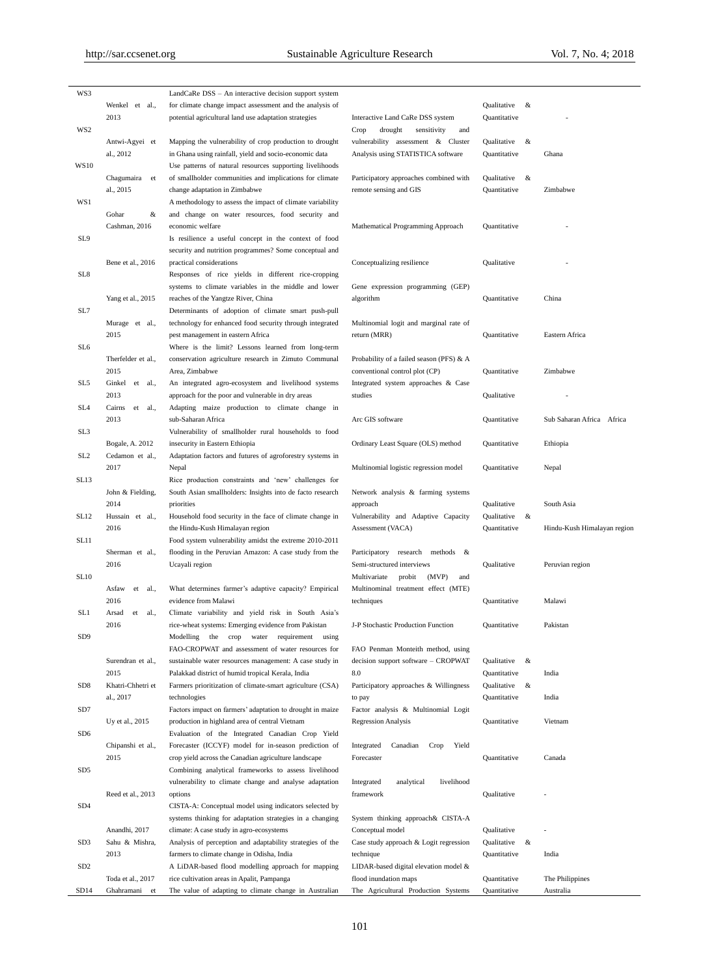| WS3              |                      | LandCaRe DSS – An interactive decision support system                                               |                                                              |                     |                             |
|------------------|----------------------|-----------------------------------------------------------------------------------------------------|--------------------------------------------------------------|---------------------|-----------------------------|
|                  | Wenkel et al.,       | for climate change impact assessment and the analysis of                                            |                                                              | Qualitative<br>&    |                             |
|                  | 2013                 | potential agricultural land use adaptation strategies                                               | Interactive Land CaRe DSS system                             | Quantitative        |                             |
| WS2              |                      |                                                                                                     | drought<br>sensitivity<br>and<br>Crop                        |                     |                             |
|                  |                      |                                                                                                     |                                                              |                     |                             |
|                  | Antwi-Agyei et       | Mapping the vulnerability of crop production to drought                                             | vulnerability assessment & Cluster                           | &<br>Qualitative    |                             |
|                  | al., 2012            | in Ghana using rainfall, yield and socio-economic data                                              | Analysis using STATISTICA software                           | Quantitative        | Ghana                       |
| <b>WS10</b>      |                      | Use patterns of natural resources supporting livelihoods                                            |                                                              |                     |                             |
|                  | Chagumaira<br>et     | of smallholder communities and implications for climate                                             | Participatory approaches combined with                       | Qualitative<br>&    |                             |
|                  | al., 2015            | change adaptation in Zimbabwe                                                                       | remote sensing and GIS                                       | Quantitative        | Zimbabwe                    |
| WS1              |                      | A methodology to assess the impact of climate variability                                           |                                                              |                     |                             |
|                  |                      |                                                                                                     |                                                              |                     |                             |
|                  | Gohar<br>&           | and change on water resources, food security and                                                    |                                                              |                     |                             |
|                  | Cashman, 2016        | economic welfare                                                                                    | Mathematical Programming Approach                            | Quantitative        |                             |
| SL9              |                      | Is resilience a useful concept in the context of food                                               |                                                              |                     |                             |
|                  |                      | security and nutrition programmes? Some conceptual and                                              |                                                              |                     |                             |
|                  | Bene et al., 2016    | practical considerations                                                                            | Conceptualizing resilience                                   | Qualitative         |                             |
| SL8              |                      | Responses of rice yields in different rice-cropping                                                 |                                                              |                     |                             |
|                  |                      |                                                                                                     |                                                              |                     |                             |
|                  |                      | systems to climate variables in the middle and lower                                                | Gene expression programming (GEP)                            |                     |                             |
|                  | Yang et al., 2015    | reaches of the Yangtze River, China                                                                 | algorithm                                                    | Quantitative        | China                       |
| SL7              |                      | Determinants of adoption of climate smart push-pull                                                 |                                                              |                     |                             |
|                  | Murage et al.,       | technology for enhanced food security through integrated                                            | Multinomial logit and marginal rate of                       |                     |                             |
|                  | 2015                 | pest management in eastern Africa                                                                   | return (MRR)                                                 | Quantitative        | Eastern Africa              |
| SL <sub>6</sub>  |                      |                                                                                                     |                                                              |                     |                             |
|                  |                      | Where is the limit? Lessons learned from long-term                                                  |                                                              |                     |                             |
|                  | Therfelder et al.,   | conservation agriculture research in Zimuto Communal                                                | Probability of a failed season (PFS) & A                     |                     |                             |
|                  | 2015                 | Area, Zimbabwe                                                                                      | conventional control plot (CP)                               | Quantitative        | Zimbabwe                    |
| SL5              | Ginkel et al.,       | An integrated agro-ecosystem and livelihood systems                                                 | Integrated system approaches & Case                          |                     |                             |
|                  | 2013                 | approach for the poor and vulnerable in dry areas                                                   | studies                                                      | Qualitative         |                             |
| SL <sub>4</sub>  | Cairns<br>et<br>al., | Adapting maize production to climate change in                                                      |                                                              |                     |                             |
|                  |                      |                                                                                                     |                                                              |                     |                             |
|                  | 2013                 | sub-Saharan Africa                                                                                  | Arc GIS software                                             | Quantitative        | Sub Saharan Africa Africa   |
| SL <sub>3</sub>  |                      | Vulnerability of smallholder rural households to food                                               |                                                              |                     |                             |
|                  | Bogale, A. 2012      | insecurity in Eastern Ethiopia                                                                      | Ordinary Least Square (OLS) method                           | Quantitative        | Ethiopia                    |
| SL <sub>2</sub>  | Cedamon et al.,      | Adaptation factors and futures of agroforestry systems in                                           |                                                              |                     |                             |
|                  | 2017                 | Nepal                                                                                               | Multinomial logistic regression model                        | Quantitative        | Nepal                       |
| SL13             |                      | Rice production constraints and 'new' challenges for                                                |                                                              |                     |                             |
|                  |                      |                                                                                                     |                                                              |                     |                             |
|                  | John & Fielding,     | South Asian smallholders: Insights into de facto research                                           | Network analysis & farming systems                           |                     |                             |
|                  | 2014                 | priorities                                                                                          | approach                                                     | Qualitative         | South Asia                  |
|                  |                      |                                                                                                     |                                                              |                     |                             |
| <b>SL12</b>      | Hussain et al.,      | Household food security in the face of climate change in                                            | Vulnerability and Adaptive Capacity                          | $\&$<br>Qualitative |                             |
|                  | 2016                 | the Hindu-Kush Himalayan region                                                                     | Assessment (VACA)                                            | Quantitative        | Hindu-Kush Himalayan region |
|                  |                      |                                                                                                     |                                                              |                     |                             |
| SL <sub>11</sub> |                      | Food system vulnerability amidst the extreme 2010-2011                                              |                                                              |                     |                             |
|                  | Sherman et al.,      | flooding in the Peruvian Amazon: A case study from the                                              | Participatory research<br>methods $\&$                       |                     |                             |
|                  | 2016                 | Ucayali region                                                                                      | Semi-structured interviews                                   | Qualitative         | Peruvian region             |
| <b>SL10</b>      |                      |                                                                                                     | (MVP)<br>Multivariate<br>probit<br>and                       |                     |                             |
|                  | Asfaw<br>al.,<br>et  | What determines farmer's adaptive capacity? Empirical                                               | Multinominal treatment effect (MTE)                          |                     |                             |
|                  | 2016                 | evidence from Malawi                                                                                | techniques                                                   | Quantitative        | Malawi                      |
|                  |                      |                                                                                                     |                                                              |                     |                             |
| SL1              | Arsad<br>et<br>al.,  | Climate variability and yield risk in South Asia's                                                  |                                                              |                     |                             |
|                  | 2016                 | rice-wheat systems: Emerging evidence from Pakistan                                                 | J-P Stochastic Production Function                           | Quantitative        | Pakistan                    |
| SD <sub>9</sub>  |                      | Modelling<br>the<br>crop<br>water<br>requirement<br>using                                           |                                                              |                     |                             |
|                  |                      | FAO-CROPWAT and assessment of water resources for                                                   | FAO Penman Monteith method, using                            |                     |                             |
|                  | Surendran et al.,    | sustainable water resources management: A case study in                                             | decision support software - CROPWAT                          | Qualitative<br>&    |                             |
|                  | 2015                 | Palakkad district of humid tropical Kerala, India                                                   | 8.0                                                          | Quantitative        | India                       |
|                  |                      |                                                                                                     |                                                              |                     |                             |
| SD <sub>8</sub>  | Khatri-Chhetri et    | Farmers prioritization of climate-smart agriculture (CSA)                                           | Participatory approaches & Willingness                       | Qualitative<br>&    |                             |
|                  | al., 2017            | technologies                                                                                        | to pay                                                       | Quantitative        | India                       |
| SD7              |                      | Factors impact on farmers' adaptation to drought in maize                                           | Factor analysis & Multinomial Logit                          |                     |                             |
|                  | Uy et al., 2015      | production in highland area of central Vietnam                                                      | <b>Regression Analysis</b>                                   | Quantitative        | Vietnam                     |
| SD <sub>6</sub>  |                      | Evaluation of the Integrated Canadian Crop Yield                                                    |                                                              |                     |                             |
|                  |                      |                                                                                                     | Canadian<br>Yield<br>Crop                                    |                     |                             |
|                  | Chipanshi et al.,    | Forecaster (ICCYF) model for in-season prediction of                                                | Integrated                                                   |                     |                             |
|                  | 2015                 | crop yield across the Canadian agriculture landscape                                                | Forecaster                                                   | Quantitative        | Canada                      |
| SD5              |                      | Combining analytical frameworks to assess livelihood                                                |                                                              |                     |                             |
|                  |                      | vulnerability to climate change and analyse adaptation                                              | livelihood<br>Integrated<br>analytical                       |                     |                             |
|                  | Reed et al., 2013    | options                                                                                             | framework                                                    | Qualitative         |                             |
| SD4              |                      | CISTA-A: Conceptual model using indicators selected by                                              |                                                              |                     |                             |
|                  |                      |                                                                                                     |                                                              |                     |                             |
|                  |                      | systems thinking for adaptation strategies in a changing                                            | System thinking approach& CISTA-A                            |                     |                             |
|                  | Anandhi, 2017        | climate: A case study in agro-ecosystems                                                            | Conceptual model                                             | Qualitative         |                             |
| SD <sub>3</sub>  | Sahu & Mishra,       | Analysis of perception and adaptability strategies of the                                           | Case study approach & Logit regression                       | $\&$<br>Qualitative |                             |
|                  | 2013                 | farmers to climate change in Odisha, India                                                          | technique                                                    | Quantitative        | India                       |
| SD <sub>2</sub>  |                      | A LiDAR-based flood modelling approach for mapping                                                  | LIDAR-based digital elevation model &                        |                     |                             |
|                  | Toda et al., 2017    |                                                                                                     |                                                              | Quantitative        | The Philippines             |
| SD <sub>14</sub> | Ghahramani et        | rice cultivation areas in Apalit, Pampanga<br>The value of adapting to climate change in Australian | flood inundation maps<br>The Agricultural Production Systems | Quantitative        | Australia                   |